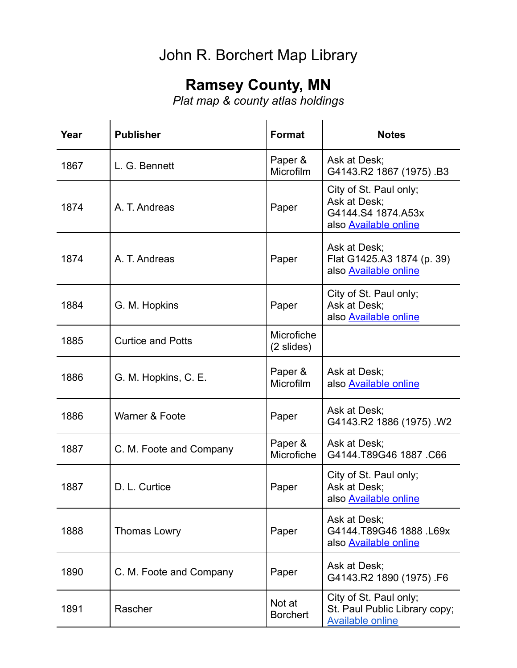## John R. Borchert Map Library

## **Ramsey County, MN**

*Plat map & county atlas holdings*

| Year | <b>Publisher</b>         | <b>Format</b>               | <b>Notes</b>                                                                                 |
|------|--------------------------|-----------------------------|----------------------------------------------------------------------------------------------|
| 1867 | L. G. Bennett            | Paper &<br>Microfilm        | Ask at Desk;<br>G4143.R2 1867 (1975) .B3                                                     |
| 1874 | A. T. Andreas            | Paper                       | City of St. Paul only;<br>Ask at Desk;<br>G4144.S4 1874.A53x<br>also <b>Available online</b> |
| 1874 | A. T. Andreas            | Paper                       | Ask at Desk;<br>Flat G1425.A3 1874 (p. 39)<br>also <b>Available online</b>                   |
| 1884 | G. M. Hopkins            | Paper                       | City of St. Paul only;<br>Ask at Desk;<br>also <b>Available online</b>                       |
| 1885 | <b>Curtice and Potts</b> | Microfiche<br>(2 slides)    |                                                                                              |
| 1886 | G. M. Hopkins, C. E.     | Paper &<br><b>Microfilm</b> | Ask at Desk;<br>also <b>Available online</b>                                                 |
| 1886 | Warner & Foote           | Paper                       | Ask at Desk;<br>G4143.R2 1886 (1975) .W2                                                     |
| 1887 | C. M. Foote and Company  | Paper &<br>Microfiche       | Ask at Desk;<br>G4144.T89G46 1887.C66                                                        |
| 1887 | D. L. Curtice            | Paper                       | City of St. Paul only;<br>Ask at Desk;<br>also <b>Available online</b>                       |
| 1888 | <b>Thomas Lowry</b>      | Paper                       | Ask at Desk;<br>G4144.T89G46 1888 L69x<br>also Available online                              |
| 1890 | C. M. Foote and Company  | Paper                       | Ask at Desk;<br>G4143.R2 1890 (1975) .F6                                                     |
| 1891 | Rascher                  | Not at<br><b>Borchert</b>   | City of St. Paul only;<br>St. Paul Public Library copy;<br><b>Available online</b>           |